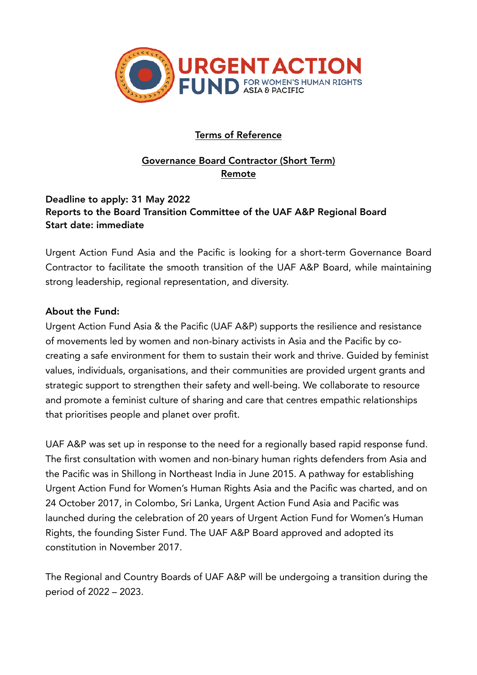

# Terms of Reference

# Governance Board Contractor (Short Term) Remote

## Deadline to apply: 31 May 2022 Reports to the Board Transition Committee of the UAF A&P Regional Board Start date: immediate

Urgent Action Fund Asia and the Pacific is looking for a short-term Governance Board Contractor to facilitate the smooth transition of the UAF A&P Board, while maintaining strong leadership, regional representation, and diversity.

### About the Fund:

Urgent Action Fund Asia & the Pacific (UAF A&P) supports the resilience and resistance of movements led by women and non-binary activists in Asia and the Pacific by cocreating a safe environment for them to sustain their work and thrive. Guided by feminist values, individuals, organisations, and their communities are provided urgent grants and strategic support to strengthen their safety and well-being. We collaborate to resource and promote a feminist culture of sharing and care that centres empathic relationships that prioritises people and planet over profit.

UAF A&P was set up in response to the need for a regionally based rapid response fund. The first consultation with women and non-binary human rights defenders from Asia and the Pacific was in Shillong in Northeast India in June 2015. A pathway for establishing Urgent Action Fund for Women's Human Rights Asia and the Pacific was charted, and on 24 October 2017, in Colombo, Sri Lanka, Urgent Action Fund Asia and Pacific was launched during the celebration of 20 years of Urgent Action Fund for Women's Human Rights, the founding Sister Fund. The UAF A&P Board approved and adopted its constitution in November 2017.

The Regional and Country Boards of UAF A&P will be undergoing a transition during the period of 2022 – 2023.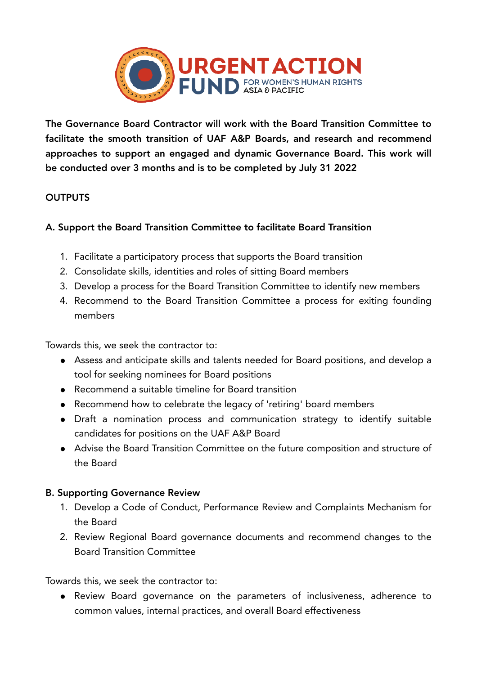

The Governance Board Contractor will work with the Board Transition Committee to facilitate the smooth transition of UAF A&P Boards, and research and recommend approaches to support an engaged and dynamic Governance Board. This work will be conducted over 3 months and is to be completed by July 31 2022

## **OUTPUTS**

## A. Support the Board Transition Committee to facilitate Board Transition

- 1. Facilitate a participatory process that supports the Board transition
- 2. Consolidate skills, identities and roles of sitting Board members
- 3. Develop a process for the Board Transition Committee to identify new members
- 4. Recommend to the Board Transition Committee a process for exiting founding members

Towards this, we seek the contractor to:

- Assess and anticipate skills and talents needed for Board positions, and develop a tool for seeking nominees for Board positions
- Recommend a suitable timeline for Board transition
- Recommend how to celebrate the legacy of 'retiring' board members
- Draft a nomination process and communication strategy to identify suitable candidates for positions on the UAF A&P Board
- Advise the Board Transition Committee on the future composition and structure of the Board

#### B. Supporting Governance Review

- 1. Develop a Code of Conduct, Performance Review and Complaints Mechanism for the Board
- 2. Review Regional Board governance documents and recommend changes to the Board Transition Committee

Towards this, we seek the contractor to:

● Review Board governance on the parameters of inclusiveness, adherence to common values, internal practices, and overall Board effectiveness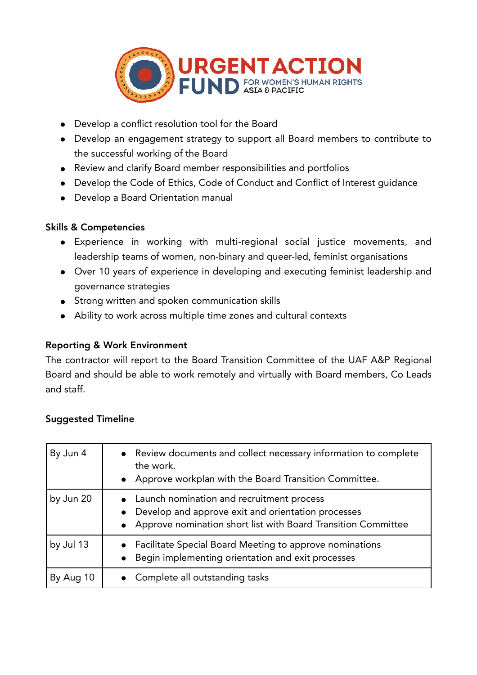

- Develop a conflict resolution tool for the Board
- Develop an engagement strategy to support all Board members to contribute to the successful working of the Board
- Review and clarify Board member responsibilities and portfolios
- Develop the Code of Ethics, Code of Conduct and Conflict of Interest guidance
- Develop a Board Orientation manual

### Skills & Competencies

- Experience in working with multi-regional social justice movements, and leadership teams of women, non-binary and queer-led, feminist organisations
- Over 10 years of experience in developing and executing feminist leadership and governance strategies
- Strong written and spoken communication skills
- Ability to work across multiple time zones and cultural contexts

## Reporting & Work Environment

The contractor will report to the Board Transition Committee of the UAF A&P Regional Board and should be able to work remotely and virtually with Board members, Co Leads and staff.

#### Suggested Timeline

| By Jun 4  | • Review documents and collect necessary information to complete<br>the work.<br>• Approve workplan with the Board Transition Committee.                               |
|-----------|------------------------------------------------------------------------------------------------------------------------------------------------------------------------|
| by Jun 20 | • Launch nomination and recruitment process<br>• Develop and approve exit and orientation processes<br>• Approve nomination short list with Board Transition Committee |
| by Jul 13 | • Facilitate Special Board Meeting to approve nominations<br>• Begin implementing orientation and exit processes                                                       |
| By Aug 10 | • Complete all outstanding tasks                                                                                                                                       |